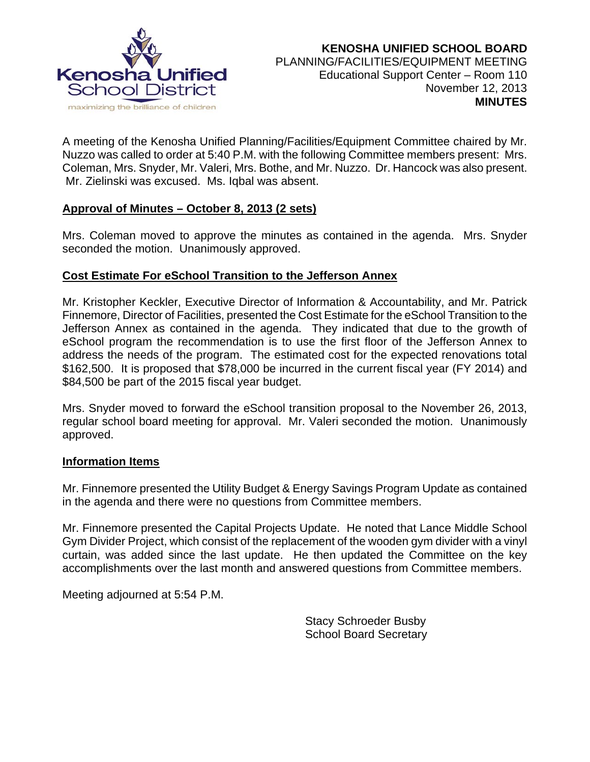

A meeting of the Kenosha Unified Planning/Facilities/Equipment Committee chaired by Mr. Nuzzo was called to order at 5:40 P.M. with the following Committee members present: Mrs. Coleman, Mrs. Snyder, Mr. Valeri, Mrs. Bothe, and Mr. Nuzzo. Dr. Hancock was also present. Mr. Zielinski was excused. Ms. Iqbal was absent.

## **Approval of Minutes – October 8, 2013 (2 sets)**

Mrs. Coleman moved to approve the minutes as contained in the agenda. Mrs. Snyder seconded the motion. Unanimously approved.

## **Cost Estimate For eSchool Transition to the Jefferson Annex**

Mr. Kristopher Keckler, Executive Director of Information & Accountability, and Mr. Patrick Finnemore, Director of Facilities, presented the Cost Estimate for the eSchool Transition to the Jefferson Annex as contained in the agenda. They indicated that due to the growth of eSchool program the recommendation is to use the first floor of the Jefferson Annex to address the needs of the program. The estimated cost for the expected renovations total \$162,500. It is proposed that \$78,000 be incurred in the current fiscal year (FY 2014) and \$84,500 be part of the 2015 fiscal year budget.

Mrs. Snyder moved to forward the eSchool transition proposal to the November 26, 2013, regular school board meeting for approval. Mr. Valeri seconded the motion. Unanimously approved.

## **Information Items**

Mr. Finnemore presented the Utility Budget & Energy Savings Program Update as contained in the agenda and there were no questions from Committee members.

Mr. Finnemore presented the Capital Projects Update. He noted that Lance Middle School Gym Divider Project, which consist of the replacement of the wooden gym divider with a vinyl curtain, was added since the last update. He then updated the Committee on the key accomplishments over the last month and answered questions from Committee members.

Meeting adjourned at 5:54 P.M.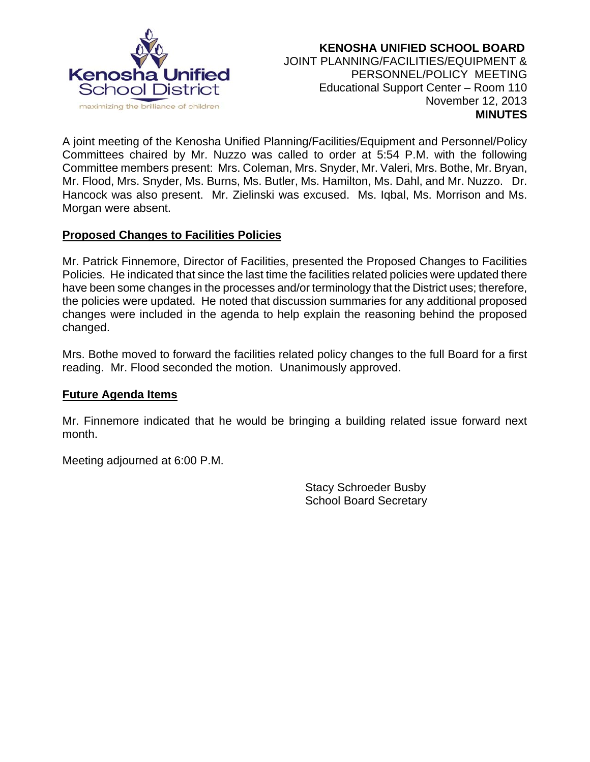

 **KENOSHA UNIFIED SCHOOL BOARD** JOINT PLANNING/FACILITIES/EQUIPMENT & PERSONNEL/POLICY MEETING Educational Support Center – Room 110 November 12, 2013  **MINUTES**

A joint meeting of the Kenosha Unified Planning/Facilities/Equipment and Personnel/Policy Committees chaired by Mr. Nuzzo was called to order at 5:54 P.M. with the following Committee members present: Mrs. Coleman, Mrs. Snyder, Mr. Valeri, Mrs. Bothe, Mr. Bryan, Mr. Flood, Mrs. Snyder, Ms. Burns, Ms. Butler, Ms. Hamilton, Ms. Dahl, and Mr. Nuzzo. Dr. Hancock was also present. Mr. Zielinski was excused. Ms. Iqbal, Ms. Morrison and Ms. Morgan were absent.

# **Proposed Changes to Facilities Policies**

Mr. Patrick Finnemore, Director of Facilities, presented the Proposed Changes to Facilities Policies. He indicated that since the last time the facilities related policies were updated there have been some changes in the processes and/or terminology that the District uses; therefore, the policies were updated. He noted that discussion summaries for any additional proposed changes were included in the agenda to help explain the reasoning behind the proposed changed.

Mrs. Bothe moved to forward the facilities related policy changes to the full Board for a first reading. Mr. Flood seconded the motion. Unanimously approved.

## **Future Agenda Items**

Mr. Finnemore indicated that he would be bringing a building related issue forward next month.

Meeting adjourned at 6:00 P.M.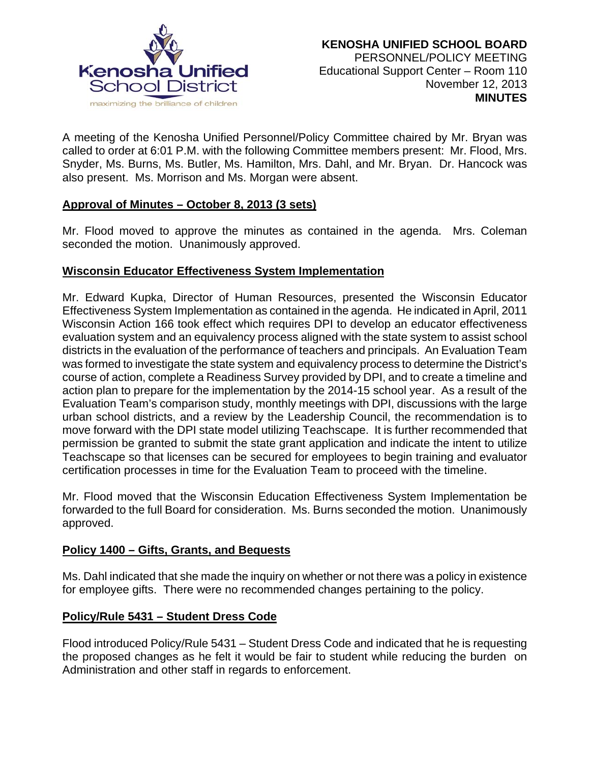

A meeting of the Kenosha Unified Personnel/Policy Committee chaired by Mr. Bryan was called to order at 6:01 P.M. with the following Committee members present: Mr. Flood, Mrs. Snyder, Ms. Burns, Ms. Butler, Ms. Hamilton, Mrs. Dahl, and Mr. Bryan. Dr. Hancock was also present. Ms. Morrison and Ms. Morgan were absent.

## **Approval of Minutes – October 8, 2013 (3 sets)**

Mr. Flood moved to approve the minutes as contained in the agenda. Mrs. Coleman seconded the motion. Unanimously approved.

## **Wisconsin Educator Effectiveness System Implementation**

Mr. Edward Kupka, Director of Human Resources, presented the Wisconsin Educator Effectiveness System Implementation as contained in the agenda. He indicated in April, 2011 Wisconsin Action 166 took effect which requires DPI to develop an educator effectiveness evaluation system and an equivalency process aligned with the state system to assist school districts in the evaluation of the performance of teachers and principals. An Evaluation Team was formed to investigate the state system and equivalency process to determine the District's course of action, complete a Readiness Survey provided by DPI, and to create a timeline and action plan to prepare for the implementation by the 2014-15 school year. As a result of the Evaluation Team's comparison study, monthly meetings with DPI, discussions with the large urban school districts, and a review by the Leadership Council, the recommendation is to move forward with the DPI state model utilizing Teachscape. It is further recommended that permission be granted to submit the state grant application and indicate the intent to utilize Teachscape so that licenses can be secured for employees to begin training and evaluator certification processes in time for the Evaluation Team to proceed with the timeline.

Mr. Flood moved that the Wisconsin Education Effectiveness System Implementation be forwarded to the full Board for consideration. Ms. Burns seconded the motion. Unanimously approved.

## **Policy 1400 – Gifts, Grants, and Bequests**

Ms. Dahl indicated that she made the inquiry on whether or not there was a policy in existence for employee gifts. There were no recommended changes pertaining to the policy.

# **Policy/Rule 5431 – Student Dress Code**

Flood introduced Policy/Rule 5431 – Student Dress Code and indicated that he is requesting the proposed changes as he felt it would be fair to student while reducing the burden on Administration and other staff in regards to enforcement.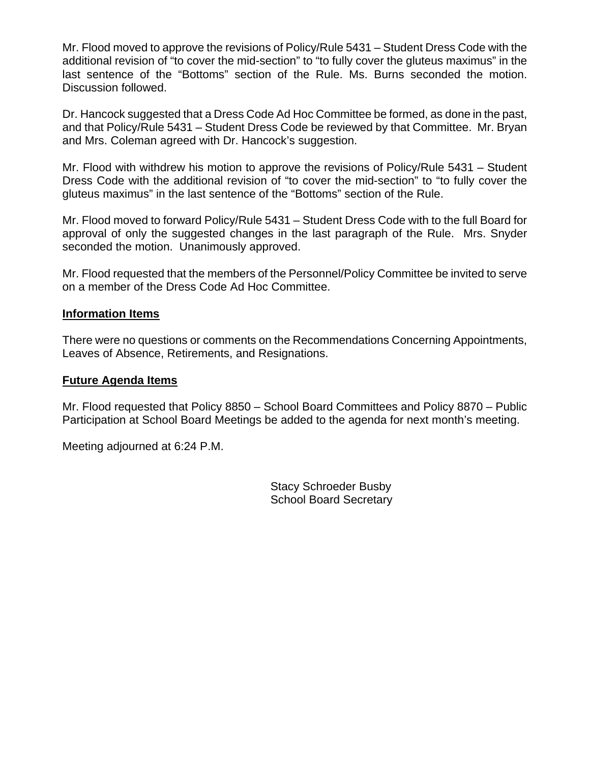Mr. Flood moved to approve the revisions of Policy/Rule 5431 – Student Dress Code with the additional revision of "to cover the mid-section" to "to fully cover the gluteus maximus" in the last sentence of the "Bottoms" section of the Rule. Ms. Burns seconded the motion. Discussion followed.

Dr. Hancock suggested that a Dress Code Ad Hoc Committee be formed, as done in the past, and that Policy/Rule 5431 – Student Dress Code be reviewed by that Committee. Mr. Bryan and Mrs. Coleman agreed with Dr. Hancock's suggestion.

Mr. Flood with withdrew his motion to approve the revisions of Policy/Rule 5431 – Student Dress Code with the additional revision of "to cover the mid-section" to "to fully cover the gluteus maximus" in the last sentence of the "Bottoms" section of the Rule.

Mr. Flood moved to forward Policy/Rule 5431 – Student Dress Code with to the full Board for approval of only the suggested changes in the last paragraph of the Rule. Mrs. Snyder seconded the motion. Unanimously approved.

Mr. Flood requested that the members of the Personnel/Policy Committee be invited to serve on a member of the Dress Code Ad Hoc Committee.

### **Information Items**

There were no questions or comments on the Recommendations Concerning Appointments, Leaves of Absence, Retirements, and Resignations.

### **Future Agenda Items**

Mr. Flood requested that Policy 8850 – School Board Committees and Policy 8870 – Public Participation at School Board Meetings be added to the agenda for next month's meeting.

Meeting adjourned at 6:24 P.M.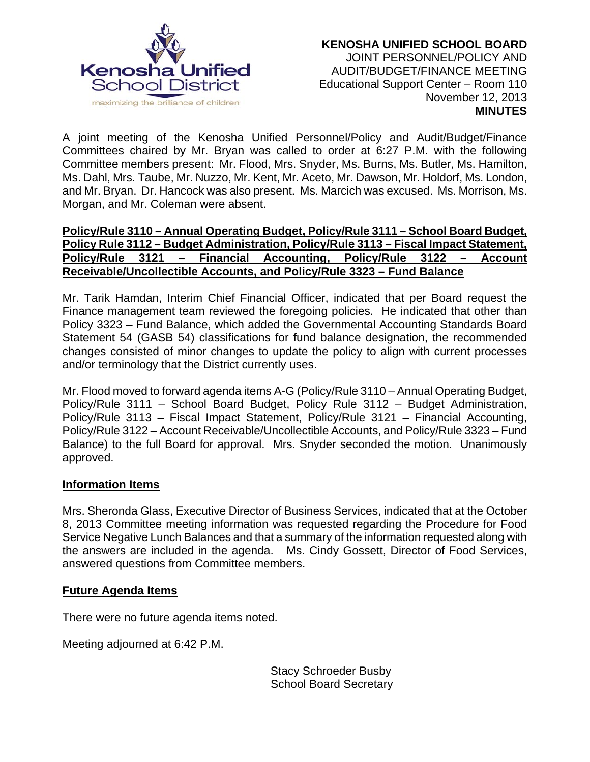

A joint meeting of the Kenosha Unified Personnel/Policy and Audit/Budget/Finance Committees chaired by Mr. Bryan was called to order at 6:27 P.M. with the following Committee members present: Mr. Flood, Mrs. Snyder, Ms. Burns, Ms. Butler, Ms. Hamilton, Ms. Dahl, Mrs. Taube, Mr. Nuzzo, Mr. Kent, Mr. Aceto, Mr. Dawson, Mr. Holdorf, Ms. London, and Mr. Bryan. Dr. Hancock was also present. Ms. Marcich was excused. Ms. Morrison, Ms. Morgan, and Mr. Coleman were absent.

## **Policy/Rule 3110 – Annual Operating Budget, Policy/Rule 3111 – School Board Budget, Policy Rule 3112 – Budget Administration, Policy/Rule 3113 – Fiscal Impact Statement, Policy/Rule 3121 – Financial Accounting, Policy/Rule 3122 – Account Receivable/Uncollectible Accounts, and Policy/Rule 3323 – Fund Balance**

Mr. Tarik Hamdan, Interim Chief Financial Officer, indicated that per Board request the Finance management team reviewed the foregoing policies. He indicated that other than Policy 3323 – Fund Balance, which added the Governmental Accounting Standards Board Statement 54 (GASB 54) classifications for fund balance designation, the recommended changes consisted of minor changes to update the policy to align with current processes and/or terminology that the District currently uses.

Mr. Flood moved to forward agenda items A-G (Policy/Rule 3110 – Annual Operating Budget, Policy/Rule 3111 – School Board Budget, Policy Rule 3112 – Budget Administration, Policy/Rule 3113 – Fiscal Impact Statement, Policy/Rule 3121 – Financial Accounting, Policy/Rule 3122 – Account Receivable/Uncollectible Accounts, and Policy/Rule 3323 – Fund Balance) to the full Board for approval. Mrs. Snyder seconded the motion. Unanimously approved.

## **Information Items**

Mrs. Sheronda Glass, Executive Director of Business Services, indicated that at the October 8, 2013 Committee meeting information was requested regarding the Procedure for Food Service Negative Lunch Balances and that a summary of the information requested along with the answers are included in the agenda. Ms. Cindy Gossett, Director of Food Services, answered questions from Committee members.

## **Future Agenda Items**

There were no future agenda items noted.

Meeting adjourned at 6:42 P.M.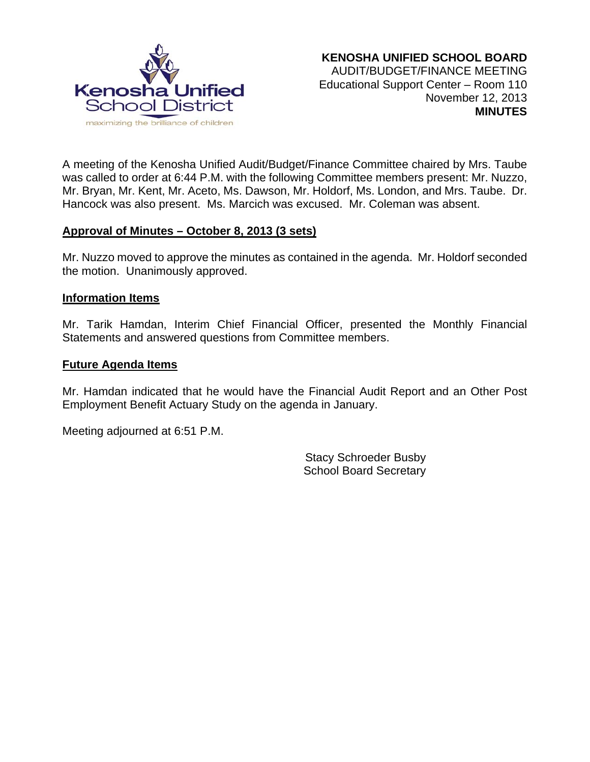

A meeting of the Kenosha Unified Audit/Budget/Finance Committee chaired by Mrs. Taube was called to order at 6:44 P.M. with the following Committee members present: Mr. Nuzzo, Mr. Bryan, Mr. Kent, Mr. Aceto, Ms. Dawson, Mr. Holdorf, Ms. London, and Mrs. Taube. Dr. Hancock was also present. Ms. Marcich was excused. Mr. Coleman was absent.

## **Approval of Minutes – October 8, 2013 (3 sets)**

Mr. Nuzzo moved to approve the minutes as contained in the agenda. Mr. Holdorf seconded the motion. Unanimously approved.

#### **Information Items**

Mr. Tarik Hamdan, Interim Chief Financial Officer, presented the Monthly Financial Statements and answered questions from Committee members.

### **Future Agenda Items**

Mr. Hamdan indicated that he would have the Financial Audit Report and an Other Post Employment Benefit Actuary Study on the agenda in January.

Meeting adjourned at 6:51 P.M.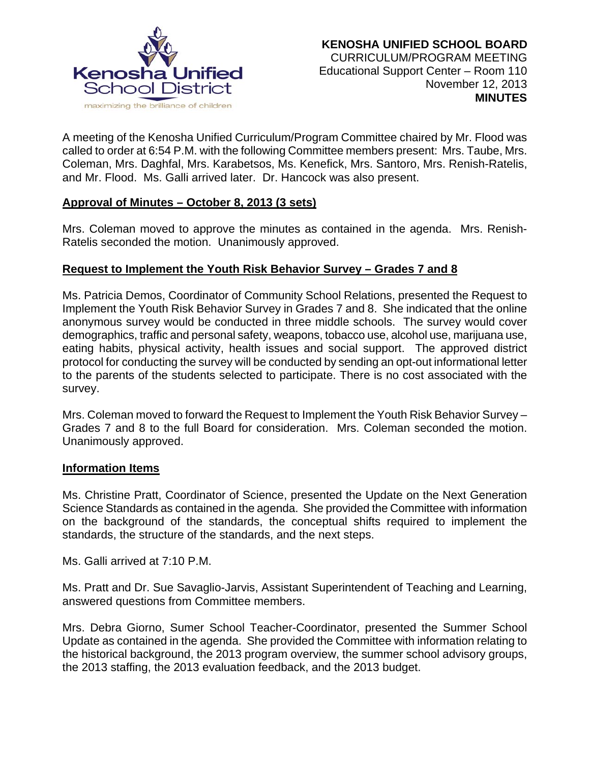

A meeting of the Kenosha Unified Curriculum/Program Committee chaired by Mr. Flood was called to order at 6:54 P.M. with the following Committee members present: Mrs. Taube, Mrs. Coleman, Mrs. Daghfal, Mrs. Karabetsos, Ms. Kenefick, Mrs. Santoro, Mrs. Renish-Ratelis, and Mr. Flood. Ms. Galli arrived later. Dr. Hancock was also present.

## **Approval of Minutes – October 8, 2013 (3 sets)**

Mrs. Coleman moved to approve the minutes as contained in the agenda. Mrs. Renish-Ratelis seconded the motion. Unanimously approved.

## **Request to Implement the Youth Risk Behavior Survey – Grades 7 and 8**

Ms. Patricia Demos, Coordinator of Community School Relations, presented the Request to Implement the Youth Risk Behavior Survey in Grades 7 and 8. She indicated that the online anonymous survey would be conducted in three middle schools. The survey would cover demographics, traffic and personal safety, weapons, tobacco use, alcohol use, marijuana use, eating habits, physical activity, health issues and social support. The approved district protocol for conducting the survey will be conducted by sending an opt-out informational letter to the parents of the students selected to participate. There is no cost associated with the survey.

Mrs. Coleman moved to forward the Request to Implement the Youth Risk Behavior Survey – Grades 7 and 8 to the full Board for consideration. Mrs. Coleman seconded the motion. Unanimously approved.

#### **Information Items**

Ms. Christine Pratt, Coordinator of Science, presented the Update on the Next Generation Science Standards as contained in the agenda. She provided the Committee with information on the background of the standards, the conceptual shifts required to implement the standards, the structure of the standards, and the next steps.

Ms. Galli arrived at 7:10 P.M.

Ms. Pratt and Dr. Sue Savaglio-Jarvis, Assistant Superintendent of Teaching and Learning, answered questions from Committee members.

Mrs. Debra Giorno, Sumer School Teacher-Coordinator, presented the Summer School Update as contained in the agenda. She provided the Committee with information relating to the historical background, the 2013 program overview, the summer school advisory groups, the 2013 staffing, the 2013 evaluation feedback, and the 2013 budget.